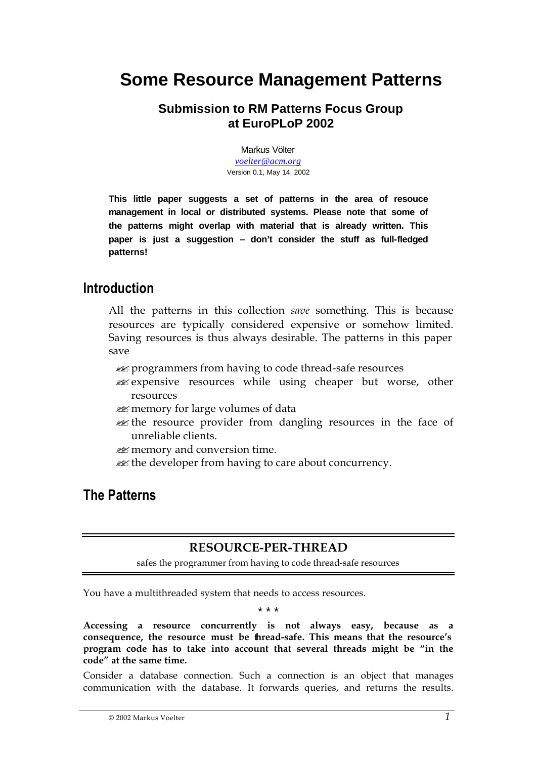# **Some Resource Management Patterns**

### **Submission to RM Patterns Focus Group at EuroPLoP 2002**

Markus Völter *voelter@acm.org* Version 0.1, May 14, 2002

**This little paper suggests a set of patterns in the area of resouce management in local or distributed systems. Please note that some of the patterns might overlap with material that is already written. This paper is just a suggestion – don't consider the stuff as full-fledged patterns!** 

### **Introduction**

All the patterns in this collection *save* something. This is because resources are typically considered expensive or somehow limited. Saving resources is thus always desirable. The patterns in this paper save

- **EX** programmers from having to code thread-safe resources
- **Expensive resources while using cheaper but worse, other** resources
- **EX** memory for large volumes of data
- **Example 1** as the resource provider from dangling resources in the face of unreliable clients.
- $\mathscr{A}$  memory and conversion time.
- **Example 1** the developer from having to care about concurrency.

## **The Patterns**

### **RESOURCE-PER-THREAD**

safes the programmer from having to code thread-safe resources

You have a multithreaded system that needs to access resources.

\* \* \*

**Accessing a resource concurrently is not always easy, because as a consequence, the resource must be thread-safe. This means that the resource's program code has to take into account that several threads might be "in the code" at the same time.** 

Consider a database connection. Such a connection is an object that manages communication with the database. It forwards queries, and returns the results.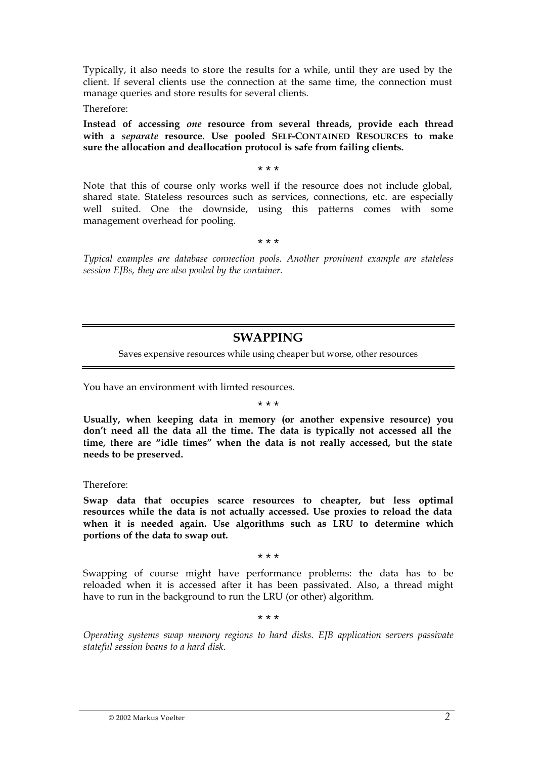Typically, it also needs to store the results for a while, until they are used by the client. If several clients use the connection at the same time, the connection must manage queries and store results for several clients.

Therefore:

**Instead of accessing** *one* **resource from several threads, provide each thread with a** *separate* **resource. Use pooled SELF-CONTAINED RESOURCES to make sure the allocation and deallocation protocol is safe from failing clients.** 

\* \* \*

Note that this of course only works well if the resource does not include global, shared state. Stateless resources such as services, connections, etc. are especially well suited. One the downside, using this patterns comes with some management overhead for pooling.

\* \* \*

*Typical examples are database connection pools. Another proninent example are stateless session EJBs, they are also pooled by the container.*

### **SWAPPING**

Saves expensive resources while using cheaper but worse, other resources

You have an environment with limted resources.

#### \* \* \*

**Usually, when keeping data in memory (or another expensive resource) you don't need all the data all the time. The data is typically not accessed all the time, there are "idle times" when the data is not really accessed, but the state needs to be preserved.**

Therefore:

**Swap data that occupies scarce resources to cheapter, but less optimal resources while the data is not actually accessed. Use proxies to reload the data when it is needed again. Use algorithms such as LRU to determine which portions of the data to swap out.**

\* \* \*

Swapping of course might have performance problems: the data has to be reloaded when it is accessed after it has been passivated. Also, a thread might have to run in the background to run the LRU (or other) algorithm.

\* \* \*

*Operating systems swap memory regions to hard disks. EJB application servers passivate stateful session beans to a hard disk.*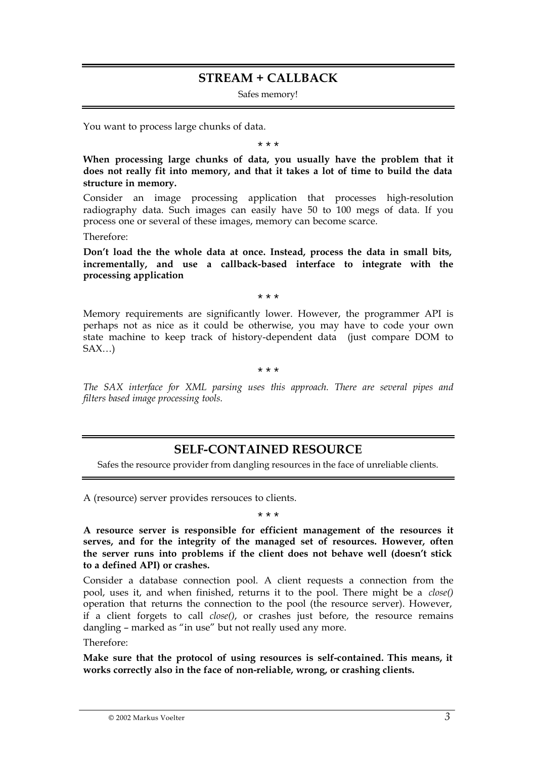### **STREAM + CALLBACK**

Safes memory!

You want to process large chunks of data.

\* \* \*

**When processing large chunks of data, you usually have the problem that it does not really fit into memory, and that it takes a lot of time to build the data structure in memory.** 

Consider an image processing application that processes high-resolution radiography data. Such images can easily have 50 to 100 megs of data. If you process one or several of these images, memory can become scarce.

Therefore:

**Don't load the the whole data at once. Instead, process the data in small bits, incrementally, and use a callback-based interface to integrate with the processing application**

\* \* \*

Memory requirements are significantly lower. However, the programmer API is perhaps not as nice as it could be otherwise, you may have to code your own state machine to keep track of history-dependent data (just compare DOM to  $SAX...$ 

\* \* \*

*The SAX interface for XML parsing uses this approach. There are several pipes and filters based image processing tools.*

### **SELF-CONTAINED RESOURCE**

Safes the resource provider from dangling resources in the face of unreliable clients.

A (resource) server provides rersouces to clients.

\* \* \*

**A resource server is responsible for efficient management of the resources it serves, and for the integrity of the managed set of resources. However, often the server runs into problems if the client does not behave well (doesn't stick to a defined API) or crashes.**

Consider a database connection pool. A client requests a connection from the pool, uses it, and when finished, returns it to the pool. There might be a *close()* operation that returns the connection to the pool (the resource server). However, if a client forgets to call *close()*, or crashes just before, the resource remains dangling – marked as "in use" but not really used any more.

Therefore:

**Make sure that the protocol of using resources is self-contained. This means, it works correctly also in the face of non-reliable, wrong, or crashing clients.**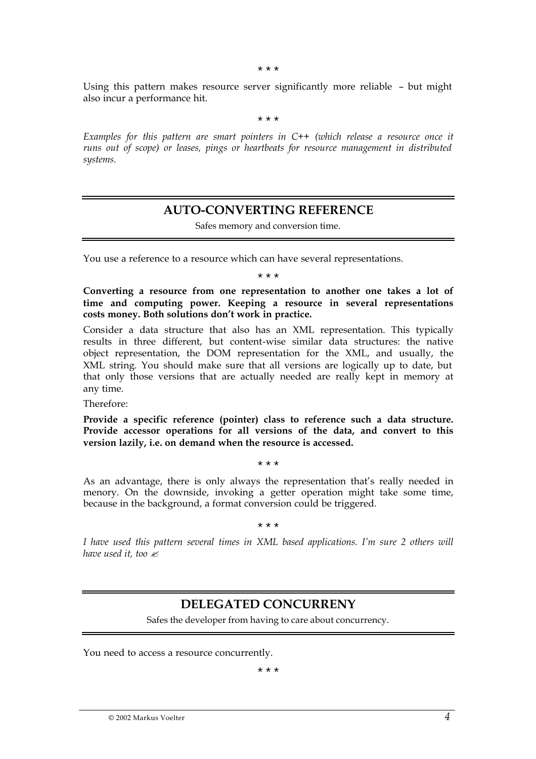\* \* \*

Using this pattern makes resource server significantly more reliable – but might also incur a performance hit.

\* \* \*

*Examples for this pattern are smart pointers in C++ (which release a resource once it runs out of scope) or leases, pings or heartbeats for resource management in distributed systems.*

### **AUTO-CONVERTING REFERENCE**

Safes memory and conversion time.

You use a reference to a resource which can have several representations.

\* \* \*

**Converting a resource from one representation to another one takes a lot of time and computing power. Keeping a resource in several representations costs money. Both solutions don't work in practice.**

Consider a data structure that also has an XML representation. This typically results in three different, but content-wise similar data structures: the native object representation, the DOM representation for the XML, and usually, the XML string. You should make sure that all versions are logically up to date, but that only those versions that are actually needed are really kept in memory at any time.

Therefore:

**Provide a specific reference (pointer) class to reference such a data structure. Provide accessor operations for all versions of the data, and convert to this version lazily, i.e. on demand when the resource is accessed.** 

As an advantage, there is only always the representation that's really needed in menory. On the downside, invoking a getter operation might take some time, because in the background, a format conversion could be triggered.

\* \* \*

\* \* \*

*I have used this pattern several times in XML based applications. I'm sure 2 others will have used it, too*  $\ll$ 

### **DELEGATED CONCURRENY**

Safes the developer from having to care about concurrency.

You need to access a resource concurrently.

\* \* \*